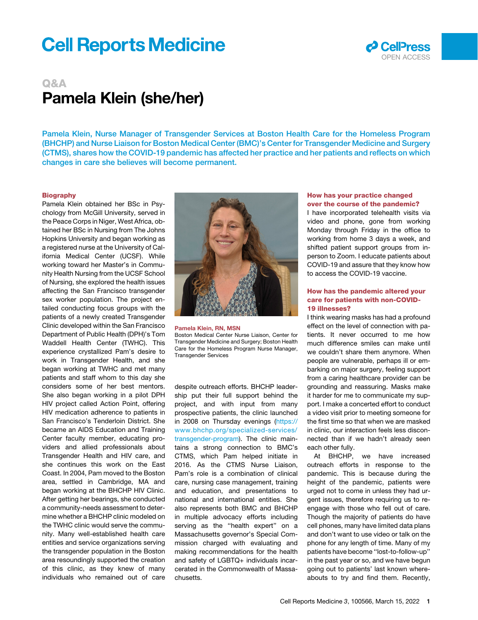# **Cell Reports Medicine**



# Q&A Pamela Klein (she/her)

Pamela Klein, Nurse Manager of Transgender Services at Boston Health Care for the Homeless Program (BHCHP) and Nurse Liaison for Boston Medical Center (BMC)'s Center for Transgender Medicine and Surgery (CTMS), shares how the COVID-19 pandemic has affected her practice and her patients and reflects on which changes in care she believes will become permanent.

#### **Biography**

Pamela Klein obtained her BSc in Psychology from McGill University, served in the Peace Corps in Niger, West Africa, obtained her BSc in Nursing from The Johns Hopkins University and began working as a registered nurse at the University of California Medical Center (UCSF). While working toward her Master's in Community Health Nursing from the UCSF School of Nursing, she explored the health issues affecting the San Francisco transgender sex worker population. The project entailed conducting focus groups with the patients of a newly created Transgender Clinic developed within the San Francisco Department of Public Health (DPH)'s Tom Waddell Health Center (TWHC). This experience crystallized Pam's desire to work in Transgender Health, and she began working at TWHC and met many patients and staff whom to this day she considers some of her best mentors. She also began working in a pilot DPH HIV project called Action Point, offering HIV medication adherence to patients in San Francisco's Tenderloin District. She became an AIDS Education and Training Center faculty member, educating providers and allied professionals about Transgender Health and HIV care, and she continues this work on the East Coast. In 2004, Pam moved to the Boston area, settled in Cambridge, MA and began working at the BHCHP HIV Clinic. After getting her bearings, she conducted a community-needs assessment to determine whether a BHCHP clinic modeled on the TWHC clinic would serve the community. Many well-established health care entities and service organizations serving the transgender population in the Boston area resoundingly supported the creation of this clinic, as they knew of many individuals who remained out of care



Pamela Klein, RN, MSN Boston Medical Center Nurse Liaison, Center for Transgender Medicine and Surgery; Boston Health Care for the Homeless Program Nurse Manager, Transgender Services

despite outreach efforts. BHCHP leadership put their full support behind the project, and with input from many prospective patients, the clinic launched in 2008 on Thursday evenings ([https://](https://www.bhchp.org/specialized-services/transgender-program) [www.bhchp.org/specialized-services/](https://www.bhchp.org/specialized-services/transgender-program) [transgender-program](https://www.bhchp.org/specialized-services/transgender-program)). The clinic maintains a strong connection to BMC's CTMS, which Pam helped initiate in 2016. As the CTMS Nurse Liaison, Pam's role is a combination of clinical care, nursing case management, training and education, and presentations to national and international entities. She also represents both BMC and BHCHP in multiple advocacy efforts including serving as the "health expert" on a Massachusetts governor's Special Commission charged with evaluating and making recommendations for the health and safety of LGBTQ+ individuals incarcerated in the Commonwealth of Massachusetts.

#### How has your practice changed over the course of the pandemic?

I have incorporated telehealth visits via video and phone, gone from working Monday through Friday in the office to working from home 3 days a week, and shifted patient support groups from inperson to Zoom. I educate patients about COVID-19 and assure that they know how to access the COVID-19 vaccine.

## How has the pandemic altered your care for patients with non-COVID-19 illnesses?

I think wearing masks has had a profound effect on the level of connection with patients. It never occurred to me how much difference smiles can make until we couldn't share them anymore. When people are vulnerable, perhaps ill or embarking on major surgery, feeling support from a caring healthcare provider can be grounding and reassuring. Masks make it harder for me to communicate my support. I make a concerted effort to conduct a video visit prior to meeting someone for the first time so that when we are masked in clinic, our interaction feels less disconnected than if we hadn't already seen each other fully.

At BHCHP, we have increased outreach efforts in response to the pandemic. This is because during the height of the pandemic, patients were urged not to come in unless they had urgent issues, therefore requiring us to reengage with those who fell out of care. Though the majority of patients do have cell phones, many have limited data plans and don't want to use video or talk on the phone for any length of time. Many of my patients have become ''lost-to-follow-up'' in the past year or so, and we have begun going out to patients' last known whereabouts to try and find them. Recently,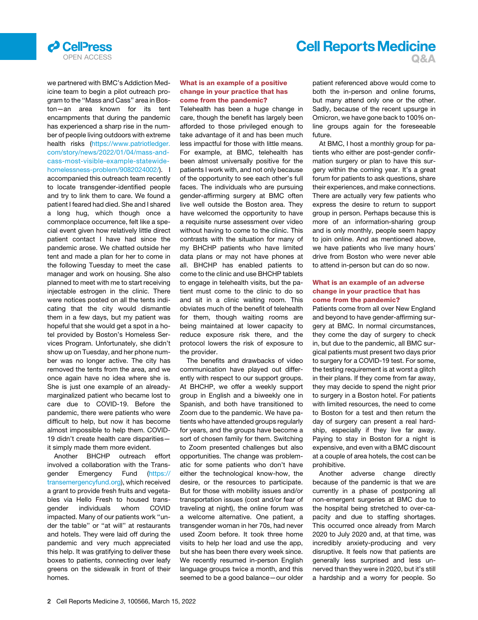

# **Cell Reports Medicine** OPEN ACCESS **Q&A**

we partnered with BMC's Addiction Medicine team to begin a pilot outreach program to the ''Mass and Cass'' area in Boston—an area known for its tent encampments that during the pandemic has experienced a sharp rise in the number of people living outdoors with extreme health risks ([https://www.patriotledger.](https://www.patriotledger.com/story/news/2022/01/04/mass-and-cass-most-visible-example-statewide-homelessness-problem/9082024002/) [com/story/news/2022/01/04/mass-and](https://www.patriotledger.com/story/news/2022/01/04/mass-and-cass-most-visible-example-statewide-homelessness-problem/9082024002/)[cass-most-visible-example-statewide](https://www.patriotledger.com/story/news/2022/01/04/mass-and-cass-most-visible-example-statewide-homelessness-problem/9082024002/)[homelessness-problem/9082024002/\)](https://www.patriotledger.com/story/news/2022/01/04/mass-and-cass-most-visible-example-statewide-homelessness-problem/9082024002/). I accompanied this outreach team recently to locate transgender-identified people and try to link them to care. We found a patient I feared had died. She and I shared a long hug, which though once a commonplace occurrence, felt like a special event given how relatively little direct patient contact I have had since the pandemic arose. We chatted outside her tent and made a plan for her to come in the following Tuesday to meet the case manager and work on housing. She also planned to meet with me to start receiving injectable estrogen in the clinic. There were notices posted on all the tents indicating that the city would dismantle them in a few days, but my patient was hopeful that she would get a spot in a hotel provided by Boston's Homeless Services Program. Unfortunately, she didn't show up on Tuesday, and her phone number was no longer active. The city has removed the tents from the area, and we once again have no idea where she is. She is just one example of an alreadymarginalized patient who became lost to care due to COVID-19. Before the pandemic, there were patients who were difficult to help, but now it has become almost impossible to help them. COVID-19 didn't create health care disparities it simply made them more evident.

Another BHCHP outreach effort involved a collaboration with the Transgender Emergency Fund ([https://](https://transemergencyfund.org) [transemergencyfund.org\)](https://transemergencyfund.org), which received a grant to provide fresh fruits and vegetables via Hello Fresh to housed transgender individuals whom COVID impacted. Many of our patients work ''under the table'' or ''at will'' at restaurants and hotels. They were laid off during the pandemic and very much appreciated this help. It was gratifying to deliver these boxes to patients, connecting over leafy greens on the sidewalk in front of their homes.

## What is an example of a positive change in your practice that has come from the pandemic?

Telehealth has been a huge change in care, though the benefit has largely been afforded to those privileged enough to take advantage of it and has been much less impactful for those with little means. For example, at BMC, telehealth has been almost universally positive for the patients I work with, and not only because of the opportunity to see each other's full faces. The individuals who are pursuing gender-affirming surgery at BMC often live well outside the Boston area. They have welcomed the opportunity to have a requisite nurse assessment over video without having to come to the clinic. This contrasts with the situation for many of my BHCHP patients who have limited data plans or may not have phones at all. BHCHP has enabled patients to come to the clinic and use BHCHP tablets to engage in telehealth visits, but the patient must come to the clinic to do so and sit in a clinic waiting room. This obviates much of the benefit of telehealth for them, though waiting rooms are being maintained at lower capacity to reduce exposure risk there, and the protocol lowers the risk of exposure to the provider.

The benefits and drawbacks of video communication have played out differently with respect to our support groups. At BHCHP, we offer a weekly support group in English and a biweekly one in Spanish, and both have transitioned to Zoom due to the pandemic. We have patients who have attended groups regularly for years, and the groups have become a sort of chosen family for them. Switching to Zoom presented challenges but also opportunities. The change was problematic for some patients who don't have either the technological know-how, the desire, or the resources to participate. But for those with mobility issues and/or transportation issues (cost and/or fear of traveling at night), the online forum was a welcome alternative. One patient, a transgender woman in her 70s, had never used Zoom before. It took three home visits to help her load and use the app, but she has been there every week since. We recently resumed in-person English language groups twice a month, and this seemed to be a good balance—our older patient referenced above would come to both the in-person and online forums, but many attend only one or the other. Sadly, because of the recent upsurge in Omicron, we have gone back to 100% online groups again for the foreseeable future.

At BMC, I host a monthly group for patients who either are post-gender confirmation surgery or plan to have this surgery within the coming year. It's a great forum for patients to ask questions, share their experiences, and make connections. There are actually very few patients who express the desire to return to support group in person. Perhaps because this is more of an information-sharing group and is only monthly, people seem happy to join online. And as mentioned above, we have patients who live many hours' drive from Boston who were never able to attend in-person but can do so now.

#### What is an example of an adverse change in your practice that has come from the pandemic?

Patients come from all over New England and beyond to have gender-affirming surgery at BMC. In normal circumstances, they come the day of surgery to check in, but due to the pandemic, all BMC surgical patients must present two days prior to surgery for a COVID-19 test. For some, the testing requirement is at worst a glitch in their plans. If they come from far away, they may decide to spend the night prior to surgery in a Boston hotel. For patients with limited resources, the need to come to Boston for a test and then return the day of surgery can present a real hardship, especially if they live far away. Paying to stay in Boston for a night is expensive, and even with a BMC discount at a couple of area hotels, the cost can be prohibitive.

Another adverse change directly because of the pandemic is that we are currently in a phase of postponing all non-emergent surgeries at BMC due to the hospital being stretched to over-capacity and due to staffing shortages. This occurred once already from March 2020 to July 2020 and, at that time, was incredibly anxiety-producing and very disruptive. It feels now that patients are generally less surprised and less unnerved than they were in 2020, but it's still a hardship and a worry for people. So